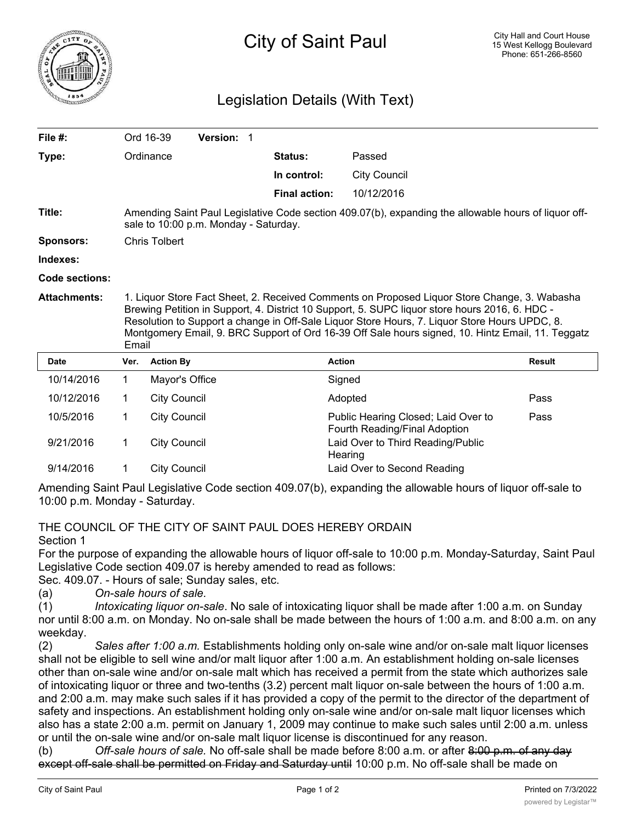

## Legislation Details (With Text)

| File #:             |                                                                                                                                                                                                                                                                                                                                                                                                               | Ord 16-39<br>Version: 1 |                      |                                                                      |               |
|---------------------|---------------------------------------------------------------------------------------------------------------------------------------------------------------------------------------------------------------------------------------------------------------------------------------------------------------------------------------------------------------------------------------------------------------|-------------------------|----------------------|----------------------------------------------------------------------|---------------|
| Type:               |                                                                                                                                                                                                                                                                                                                                                                                                               | Ordinance               | <b>Status:</b>       | Passed                                                               |               |
|                     |                                                                                                                                                                                                                                                                                                                                                                                                               |                         | In control:          | <b>City Council</b>                                                  |               |
|                     |                                                                                                                                                                                                                                                                                                                                                                                                               |                         | <b>Final action:</b> | 10/12/2016                                                           |               |
| Title:              | Amending Saint Paul Legislative Code section 409.07(b), expanding the allowable hours of liquor off-<br>sale to 10:00 p.m. Monday - Saturday.                                                                                                                                                                                                                                                                 |                         |                      |                                                                      |               |
| <b>Sponsors:</b>    |                                                                                                                                                                                                                                                                                                                                                                                                               | <b>Chris Tolbert</b>    |                      |                                                                      |               |
| Indexes:            |                                                                                                                                                                                                                                                                                                                                                                                                               |                         |                      |                                                                      |               |
| Code sections:      |                                                                                                                                                                                                                                                                                                                                                                                                               |                         |                      |                                                                      |               |
| <b>Attachments:</b> | 1. Liquor Store Fact Sheet, 2. Received Comments on Proposed Liquor Store Change, 3. Wabasha<br>Brewing Petition in Support, 4. District 10 Support, 5. SUPC liquor store hours 2016, 6. HDC -<br>Resolution to Support a change in Off-Sale Liquor Store Hours, 7. Liquor Store Hours UPDC, 8.<br>Montgomery Email, 9. BRC Support of Ord 16-39 Off Sale hours signed, 10. Hintz Email, 11. Teggatz<br>Email |                         |                      |                                                                      |               |
| <b>Date</b>         | Ver.                                                                                                                                                                                                                                                                                                                                                                                                          | <b>Action By</b>        |                      | <b>Action</b>                                                        | <b>Result</b> |
| 10/14/2016          | $\mathbf 1$                                                                                                                                                                                                                                                                                                                                                                                                   | Mayor's Office          |                      | Signed                                                               |               |
| 10/12/2016          | 1                                                                                                                                                                                                                                                                                                                                                                                                             | <b>City Council</b>     |                      | Adopted                                                              | Pass          |
| 10/5/2016           | 1.                                                                                                                                                                                                                                                                                                                                                                                                            | <b>City Council</b>     |                      | Public Hearing Closed; Laid Over to<br>Fourth Reading/Final Adoption | Pass          |
| 9/21/2016           |                                                                                                                                                                                                                                                                                                                                                                                                               |                         |                      |                                                                      |               |
|                     | 1                                                                                                                                                                                                                                                                                                                                                                                                             | <b>City Council</b>     |                      | Laid Over to Third Reading/Public<br>Hearing                         |               |

Amending Saint Paul Legislative Code section 409.07(b), expanding the allowable hours of liquor off-sale to 10:00 p.m. Monday - Saturday.

THE COUNCIL OF THE CITY OF SAINT PAUL DOES HEREBY ORDAIN Section 1

For the purpose of expanding the allowable hours of liquor off-sale to 10:00 p.m. Monday-Saturday, Saint Paul Legislative Code section 409.07 is hereby amended to read as follows:

Sec. 409.07. - Hours of sale; Sunday sales, etc.

(a) *On-sale hours of sale.*

(1) *Intoxicating liquor on-sale*. No sale of intoxicating liquor shall be made after 1:00 a.m. on Sunday nor until 8:00 a.m. on Monday. No on-sale shall be made between the hours of 1:00 a.m. and 8:00 a.m. on any weekday.

(2) *Sales after 1:00 a.m.* Establishments holding only on-sale wine and/or on-sale malt liquor licenses shall not be eligible to sell wine and/or malt liquor after 1:00 a.m. An establishment holding on-sale licenses other than on-sale wine and/or on-sale malt which has received a permit from the state which authorizes sale of intoxicating liquor or three and two-tenths (3.2) percent malt liquor on-sale between the hours of 1:00 a.m. and 2:00 a.m. may make such sales if it has provided a copy of the permit to the director of the department of safety and inspections. An establishment holding only on-sale wine and/or on-sale malt liquor licenses which also has a state 2:00 a.m. permit on January 1, 2009 may continue to make such sales until 2:00 a.m. unless or until the on-sale wine and/or on-sale malt liquor license is discontinued for any reason.

(b) *Off-sale hours of sale.* No off-sale shall be made before 8:00 a.m. or after 8:00 p.m. of any day except off-sale shall be permitted on Friday and Saturday until 10:00 p.m. No off-sale shall be made on